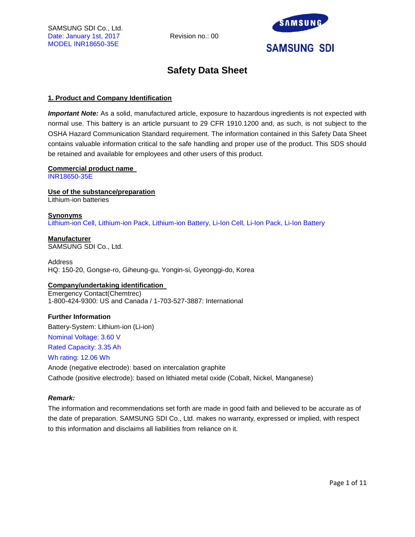

# **Safety Data Sheet**

# **1. Product and Company Identification**

*Important Note:* As a solid, manufactured article, exposure to hazardous ingredients is not expected with normal use. This battery is an article pursuant to 29 CFR 1910.1200 and, as such, is not subject to the OSHA Hazard Communication Standard requirement. The information contained in this Safety Data Sheet contains valuable information critical to the safe handling and proper use of the product. This SDS should be retained and available for employees and other users of this product.

# **Commercial product name**

INR18650-35E

**Use of the substance/preparation** Lithium-ion batteries

#### **Synonyms** Lithium-ion Cell, Lithium-ion Pack, Lithium-ion Battery, Li-Ion Cell, Li-Ion Pack, Li-Ion Battery

**Manufacturer** SAMSUNG SDI Co., Ltd.

Address HQ: 150-20, Gongse-ro, Giheung-gu, Yongin-si, Gyeonggi-do, Korea

# **Company/undertaking identification**

Emergency Contact(Chemtrec) 1-800-424-9300: US and Canada / 1-703-527-3887: International

# **Further Information**

Battery-System: Lithium-ion (Li-ion)

Nominal Voltage: 3.60 V

Rated Capacity: 3.35 Ah

# Wh rating: 12.06 Wh

Anode (negative electrode): based on intercalation graphite Cathode (positive electrode): based on lithiated metal oxide (Cobalt, Nickel, Manganese)

# *Remark:*

The information and recommendations set forth are made in good faith and believed to be accurate as of the date of preparation. SAMSUNG SDI Co., Ltd. makes no warranty, expressed or implied, with respect to this information and disclaims all liabilities from reliance on it.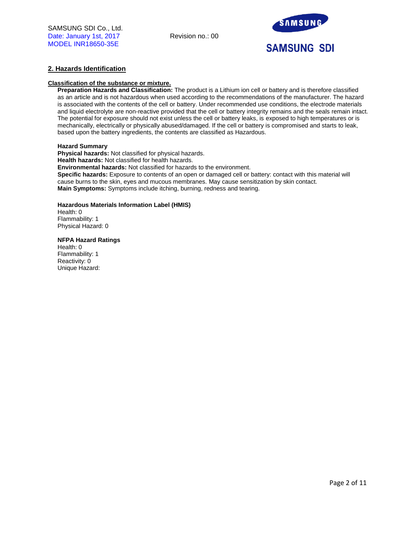

# **2. Hazards Identification**

#### **Classification of the substance or mixture.**

**Preparation Hazards and Classification:** The product is a Lithium ion cell or battery and is therefore classified as an article and is not hazardous when used according to the recommendations of the manufacturer. The hazard is associated with the contents of the cell or battery. Under recommended use conditions, the electrode materials and liquid electrolyte are non-reactive provided that the cell or battery integrity remains and the seals remain intact. The potential for exposure should not exist unless the cell or battery leaks, is exposed to high temperatures or is mechanically, electrically or physically abused/damaged. If the cell or battery is compromised and starts to leak, based upon the battery ingredients, the contents are classified as Hazardous.

#### **Hazard Summary**

**Physical hazards:** Not classified for physical hazards. **Health hazards:** Not classified for health hazards. **Environmental hazards:** Not classified for hazards to the environment. **Specific hazards:** Exposure to contents of an open or damaged cell or battery: contact with this material will cause burns to the skin, eyes and mucous membranes. May cause sensitization by skin contact. **Main Symptoms:** Symptoms include itching, burning, redness and tearing.

# **Hazardous Materials Information Label (HMIS)**

Health: 0 Flammability: 1 Physical Hazard: 0

#### **NFPA Hazard Ratings**

Health: 0 Flammability: 1 Reactivity: 0 Unique Hazard: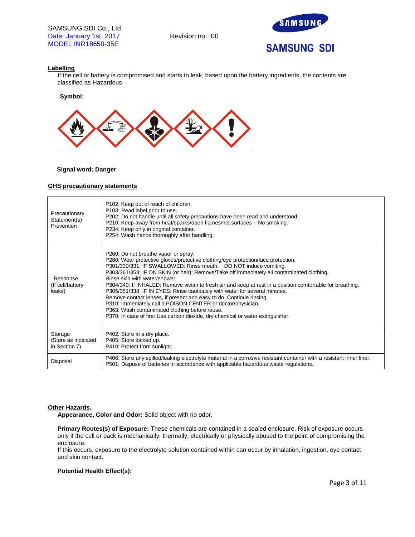

# **Labelling**

If the cell or battery is compromised and starts to leak, based upon the battery ingredients, the contents are classified as Hazardous

**Symbol:** 



# **Signal word: Danger**

#### **GHS precautionary statements**

| Precautionary<br>Statement(s)<br>Prevention     | P102: Keep out of reach of children.<br>P103: Read label prior to use.<br>P202: Do not handle until all safety precautions have been read and understood.<br>P210: Keep away from heat/sparks/open flames/hot surfaces - No smoking.<br>P234: Keep only in original container.<br>P254: Wash hands thoroughly after handling.                                                                                                                                                                                                                                                                                                                                                                                                                                                                     |
|-------------------------------------------------|---------------------------------------------------------------------------------------------------------------------------------------------------------------------------------------------------------------------------------------------------------------------------------------------------------------------------------------------------------------------------------------------------------------------------------------------------------------------------------------------------------------------------------------------------------------------------------------------------------------------------------------------------------------------------------------------------------------------------------------------------------------------------------------------------|
| Response<br>(If cell/battery<br>leaks)          | P260: Do not breathe vapor or spray.<br>P280: Wear protective gloves/protective clothing/eye protection/face protection.<br>P301/330/331: IF SWALLOWED: Rinse mouth. DO NOT induce vomiting.<br>P303/361/353: IF ON SKIN (or hair): Remove/Take off immediately all contaminated clothing.<br>Rinse skin with water/shower.<br>P304/340: If INHALED: Remove victim to fresh air and keep at rest in a position comfortable for breathing.<br>P305/351/338: IF IN EYES: Rinse cautiously with water for several minutes.<br>Remove contact lenses, if present and easy to do. Continue rinsing.<br>P310: Immediately call a POISON CENTER or doctor/physician.<br>P363: Wash contaminated clothing before reuse.<br>P370: In case of fire: Use carbon dioxide, dry chemical or water extinguisher. |
| Storage<br>(Store as indicated<br>in Section 7) | P402: Store in a dry place.<br>P405: Store locked up.<br>P410: Protect from sunlight.                                                                                                                                                                                                                                                                                                                                                                                                                                                                                                                                                                                                                                                                                                             |
| Disposal                                        | P406: Store any spilled/leaking electrolyte material in a corrosive resistant container with a resistant inner liner.<br>P501: Dispose of batteries in accordance with applicable hazardous waste regulations.                                                                                                                                                                                                                                                                                                                                                                                                                                                                                                                                                                                    |

#### **Other Hazards.**

**Appearance, Color and Odor:** Solid object with no odor.

**Primary Routes(s) of Exposure:** These chemicals are contained in a sealed enclosure. Risk of exposure occurs only if the cell or pack is mechanically, thermally, electrically or physically abused to the point of compromising the enclosure.

If this occurs, exposure to the electrolyte solution contained within can occur by inhalation, ingestion, eye contact and skin contact.

# **Potential Health Effect(s):**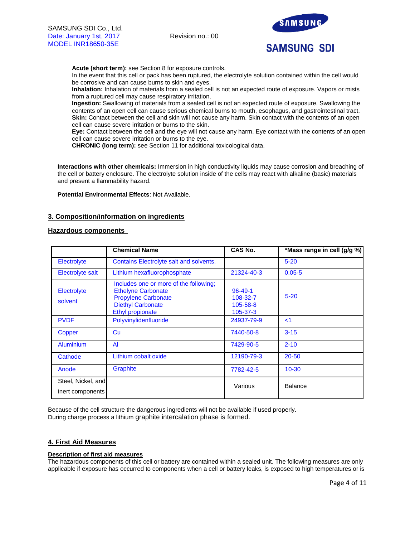

**Acute (short term):** see Section 8 for exposure controls.

In the event that this cell or pack has been ruptured, the electrolyte solution contained within the cell would be corrosive and can cause burns to skin and eyes.

**Inhalation:** Inhalation of materials from a sealed cell is not an expected route of exposure. Vapors or mists from a ruptured cell may cause respiratory irritation.

**Ingestion:** Swallowing of materials from a sealed cell is not an expected route of exposure. Swallowing the contents of an open cell can cause serious chemical burns to mouth, esophagus, and gastrointestinal tract. **Skin:** Contact between the cell and skin will not cause any harm. Skin contact with the contents of an open cell can cause severe irritation or burns to the skin.

**Eye:** Contact between the cell and the eye will not cause any harm. Eye contact with the contents of an open cell can cause severe irritation or burns to the eye.

**CHRONIC (long term):** see Section 11 for additional toxicological data.

**Interactions with other chemicals:** Immersion in high conductivity liquids may cause corrosion and breaching of the cell or battery enclosure. The electrolyte solution inside of the cells may react with alkaline (basic) materials and present a flammability hazard.

**Potential Environmental Effects**: Not Available.

# **3. Composition/information on ingredients**

# **Hazardous components**

|                                        | <b>Chemical Name</b>                                                                                                                              | CAS No.                                                 | *Mass range in cell (g/g %) |
|----------------------------------------|---------------------------------------------------------------------------------------------------------------------------------------------------|---------------------------------------------------------|-----------------------------|
| Electrolyte                            | Contains Electrolyte salt and solvents.                                                                                                           |                                                         | $5 - 20$                    |
| Electrolyte salt                       | Lithium hexafluorophosphate                                                                                                                       | 21324-40-3                                              | $0.05 - 5$                  |
| Electrolyte<br>solvent                 | Includes one or more of the following;<br><b>Ethelyne Carbonate</b><br><b>Propylene Carbonate</b><br><b>Diethyl Carbonate</b><br>Ethyl propionate | $96 - 49 - 1$<br>108-32-7<br>105-58-8<br>$105 - 37 - 3$ | $5 - 20$                    |
| <b>PVDF</b>                            | Polyvinylidenfluoride                                                                                                                             | 24937-79-9                                              | $\leq$ 1                    |
| Copper                                 | Cu                                                                                                                                                | 7440-50-8                                               | $3 - 15$                    |
| <b>Aluminium</b>                       | AI                                                                                                                                                | 7429-90-5                                               | $2 - 10$                    |
| Cathode                                | Lithium cobalt oxide                                                                                                                              | 12190-79-3                                              | $20 - 50$                   |
| Anode                                  | <b>Graphite</b>                                                                                                                                   | 7782-42-5                                               | $10 - 30$                   |
| Steel, Nickel, and<br>inert components |                                                                                                                                                   | Various                                                 | <b>Balance</b>              |

Because of the cell structure the dangerous ingredients will not be available if used properly. During charge process a lithium graphite intercalation phase is formed.

# **4. First Aid Measures**

# **Description of first aid measures**

The hazardous components of this cell or battery are contained within a sealed unit. The following measures are only applicable if exposure has occurred to components when a cell or battery leaks, is exposed to high temperatures or is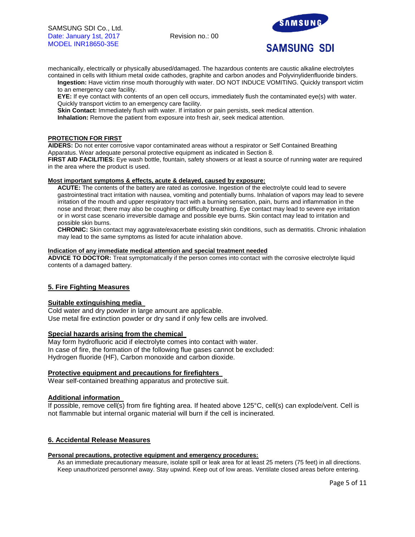

mechanically, electrically or physically abused/damaged. The hazardous contents are caustic alkaline electrolytes contained in cells with lithium metal oxide cathodes, graphite and carbon anodes and Polyvinylidenfluoride binders.

**Ingestion:** Have victim rinse mouth thoroughly with water. DO NOT INDUCE VOMITING. Quickly transport victim to an emergency care facility.

**EYE:** If eye contact with contents of an open cell occurs, immediately flush the contaminated eye(s) with water. Quickly transport victim to an emergency care facility.

**Skin Contact:** Immediately flush with water. If irritation or pain persists, seek medical attention.

**Inhalation:** Remove the patient from exposure into fresh air, seek medical attention.

# **PROTECTION FOR FIRST**

**AIDERS:** Do not enter corrosive vapor contaminated areas without a respirator or Self Contained Breathing Apparatus. Wear adequate personal protective equipment as indicated in Section 8.

**FIRST AID FACILITIES:** Eye wash bottle, fountain, safety showers or at least a source of running water are required in the area where the product is used.

#### **Most important symptoms & effects, acute & delayed, caused by exposure:**

**ACUTE:** The contents of the battery are rated as corrosive. Ingestion of the electrolyte could lead to severe gastrointestinal tract irritation with nausea, vomiting and potentially burns. Inhalation of vapors may lead to severe irritation of the mouth and upper respiratory tract with a burning sensation, pain, burns and inflammation in the nose and throat; there may also be coughing or difficulty breathing. Eye contact may lead to severe eye irritation or in worst case scenario irreversible damage and possible eye burns. Skin contact may lead to irritation and possible skin burns.

**CHRONIC:** Skin contact may aggravate/exacerbate existing skin conditions, such as dermatitis. Chronic inhalation may lead to the same symptoms as listed for acute inhalation above.

#### **Indication of any immediate medical attention and special treatment needed**

**ADVICE TO DOCTOR:** Treat symptomatically if the person comes into contact with the corrosive electrolyte liquid contents of a damaged battery.

# **5. Fire Fighting Measures**

# **Suitable extinguishing media**

Cold water and dry powder in large amount are applicable. Use metal fire extinction powder or dry sand if only few cells are involved.

# **Special hazards arising from the chemical**

May form hydrofluoric acid if electrolyte comes into contact with water. In case of fire, the formation of the following flue gases cannot be excluded: Hydrogen fluoride (HF), Carbon monoxide and carbon dioxide.

# **Protective equipment and precautions for firefighters**

Wear self-contained breathing apparatus and protective suit.

# **Additional information**

If possible, remove cell(s) from fire fighting area. If heated above 125°C, cell(s) can explode/vent. Cell is not flammable but internal organic material will burn if the cell is incinerated.

# **6. Accidental Release Measures**

#### **Personal precautions, protective equipment and emergency procedures:**

As an immediate precautionary measure, isolate spill or leak area for at least 25 meters (75 feet) in all directions. Keep unauthorized personnel away. Stay upwind. Keep out of low areas. Ventilate closed areas before entering.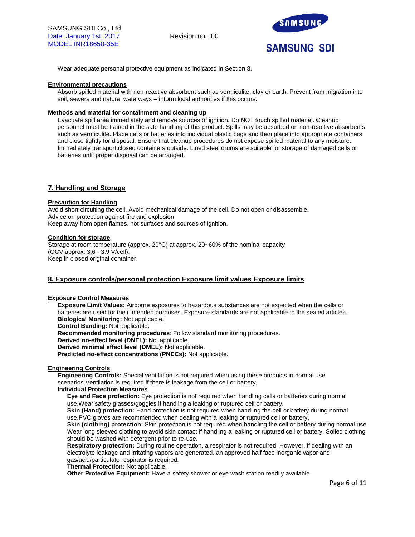

Wear adequate personal protective equipment as indicated in Section 8.

# **Environmental precautions**

Absorb spilled material with non-reactive absorbent such as vermiculite, clay or earth. Prevent from migration into soil, sewers and natural waterways – inform local authorities if this occurs.

### **Methods and material for containment and cleaning up**

Evacuate spill area immediately and remove sources of ignition. Do NOT touch spilled material. Cleanup personnel must be trained in the safe handling of this product. Spills may be absorbed on non-reactive absorbents such as vermiculite. Place cells or batteries into individual plastic bags and then place into appropriate containers and close tightly for disposal. Ensure that cleanup procedures do not expose spilled material to any moisture. Immediately transport closed containers outside. Lined steel drums are suitable for storage of damaged cells or batteries until proper disposal can be arranged.

# **7. Handling and Storage**

#### **Precaution for Handling**

Avoid short circuiting the cell. Avoid mechanical damage of the cell. Do not open or disassemble. Advice on protection against fire and explosion Keep away from open flames, hot surfaces and sources of ignition.

#### **Condition for storage**

Storage at room temperature (approx. 20°C) at approx. 20~60% of the nominal capacity (OCV approx. 3.6 - 3.9 V/cell). Keep in closed original container.

# **8. Exposure controls/personal protection Exposure limit values Exposure limits**

#### **Exposure Control Measures**

**Exposure Limit Values:** Airborne exposures to hazardous substances are not expected when the cells or batteries are used for their intended purposes. Exposure standards are not applicable to the sealed articles. **Biological Monitoring:** Not applicable.

**Control Banding:** Not applicable.

**Recommended monitoring procedures**: Follow standard monitoring procedures.

**Derived no-effect level (DNEL):** Not applicable.

**Derived minimal effect level (DMEL):** Not applicable.

**Predicted no-effect concentrations (PNECs):** Not applicable.

# **Engineering Controls**

**Engineering Controls:** Special ventilation is not required when using these products in normal use scenarios.Ventilation is required if there is leakage from the cell or battery.

#### **Individual Protection Measures**

**Eye and Face protection:** Eye protection is not required when handling cells or batteries during normal use.Wear safety glasses/goggles if handling a leaking or ruptured cell or battery.

**Skin (Hand) protection:** Hand protection is not required when handling the cell or battery during normal use.PVC gloves are recommended when dealing with a leaking or ruptured cell or battery.

**Skin (clothing) protection:** Skin protection is not required when handling the cell or battery during normal use. Wear long sleeved clothing to avoid skin contact if handling a leaking or ruptured cell or battery. Soiled clothing should be washed with detergent prior to re-use.

**Respiratory protection:** During routine operation, a respirator is not required. However, if dealing with an electrolyte leakage and irritating vapors are generated, an approved half face inorganic vapor and gas/acid/particulate respirator is required.

**Thermal Protection:** Not applicable.

**Other Protective Equipment:** Have a safety shower or eye wash station readily available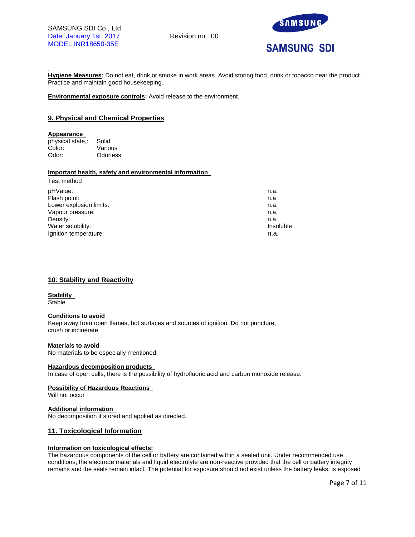

. **Hygiene Measures:** Do not eat, drink or smoke in work areas. Avoid storing food, drink or tobacco near the product. Practice and maintain good housekeeping.

**Environmental exposure controls:** Avoid release to the environment.

# **9. Physical and Chemical Properties**

#### **Appearance**

physical state,: Solid Color: Various Odor: Odorless

# **Important health, safety and environmental information**

| Test method             |           |
|-------------------------|-----------|
| pHValue:                | n.a.      |
| Flash point:            | n.a       |
| Lower explosion limits: | n.a.      |
| Vapour pressure:        | n.a.      |
| Density:                | n.a.      |
| Water solubility:       | Insoluble |
| Ignition temperature:   | n.a.      |
|                         |           |

# **10. Stability and Reactivity**

### **Stability**

**Stable** 

#### **Conditions to avoid**

Keep away from open flames, hot surfaces and sources of ignition. Do not puncture, crush or incinerate.

# **Materials to avoid**

No materials to be especially mentioned.

#### **Hazardous decomposition products**

In case of open cells, there is the possibility of hydrofluoric acid and carbon monoxide release.

#### **Possibility of Hazardous Reactions**

Will not occur

# **Additional information**

No decomposition if stored and applied as directed.

# **11. Toxicological Information**

# **Information on toxicological effects:**

The hazardous components of the cell or battery are contained within a sealed unit. Under recommended use conditions, the electrode materials and liquid electrolyte are non-reactive provided that the cell or battery integrity remains and the seals remain intact. The potential for exposure should not exist unless the battery leaks, is exposed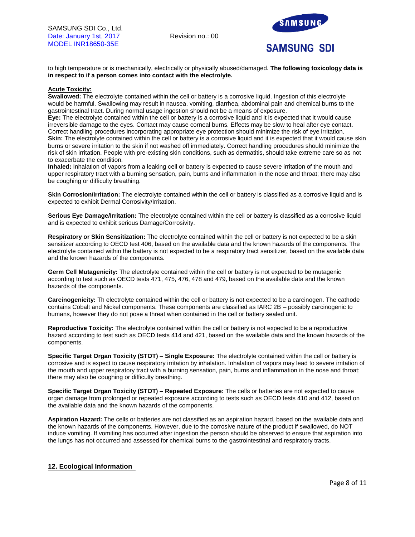

to high temperature or is mechanically, electrically or physically abused/damaged. **The following toxicology data is in respect to if a person comes into contact with the electrolyte.**

### **Acute Toxicity:**

**Swallowed:** The electrolyte contained within the cell or battery is a corrosive liquid. Ingestion of this electrolyte would be harmful. Swallowing may result in nausea, vomiting, diarrhea, abdominal pain and chemical burns to the gastrointestinal tract. During normal usage ingestion should not be a means of exposure.

**Eye:** The electrolyte contained within the cell or battery is a corrosive liquid and it is expected that it would cause irreversible damage to the eyes. Contact may cause corneal burns. Effects may be slow to heal after eye contact. Correct handling procedures incorporating appropriate eye protection should minimize the risk of eye irritation. Skin: The electrolyte contained within the cell or battery is a corrosive liquid and it is expected that it would cause skin burns or severe irritation to the skin if not washed off immediately. Correct handling procedures should minimize the risk of skin irritation. People with pre-existing skin conditions, such as dermatitis, should take extreme care so as not to exacerbate the condition.

**Inhaled:** Inhalation of vapors from a leaking cell or battery is expected to cause severe irritation of the mouth and upper respiratory tract with a burning sensation, pain, burns and inflammation in the nose and throat; there may also be coughing or difficulty breathing.

**Skin Corrosion/Irritation:** The electrolyte contained within the cell or battery is classified as a corrosive liquid and is expected to exhibit Dermal Corrosivity/Irritation.

**Serious Eye Damage/Irritation:** The electrolyte contained within the cell or battery is classified as a corrosive liquid and is expected to exhibit serious Damage/Corrosivity.

**Respiratory or Skin Sensitization:** The electrolyte contained within the cell or battery is not expected to be a skin sensitizer according to OECD test 406, based on the available data and the known hazards of the components. The electrolyte contained within the battery is not expected to be a respiratory tract sensitizer, based on the available data and the known hazards of the components.

**Germ Cell Mutagenicity:** The electrolyte contained within the cell or battery is not expected to be mutagenic according to test such as OECD tests 471, 475, 476, 478 and 479, based on the available data and the known hazards of the components.

**Carcinogenicity:** Th electrolyte contained within the cell or battery is not expected to be a carcinogen. The cathode contains Cobalt and Nickel components. These components are classified as IARC 2B – possibly carcinogenic to humans, however they do not pose a threat when contained in the cell or battery sealed unit.

**Reproductive Toxicity:** The electrolyte contained within the cell or battery is not expected to be a reproductive hazard according to test such as OECD tests 414 and 421, based on the available data and the known hazards of the components.

**Specific Target Organ Toxicity (STOT) – Single Exposure:** The electrolyte contained within the cell or battery is corrosive and is expect to cause respiratory irritation by inhalation. Inhalation of vapors may lead to severe irritation of the mouth and upper respiratory tract with a burning sensation, pain, burns and inflammation in the nose and throat; there may also be coughing or difficulty breathing.

**Specific Target Organ Toxicity (STOT) – Repeated Exposure:** The cells or batteries are not expected to cause organ damage from prolonged or repeated exposure according to tests such as OECD tests 410 and 412, based on the available data and the known hazards of the components.

**Aspiration Hazard:** The cells or batteries are not classified as an aspiration hazard, based on the available data and the known hazards of the components. However, due to the corrosive nature of the product if swallowed, do NOT induce vomiting. If vomiting has occurred after ingestion the person should be observed to ensure that aspiration into the lungs has not occurred and assessed for chemical burns to the gastrointestinal and respiratory tracts.

# **12. Ecological Information**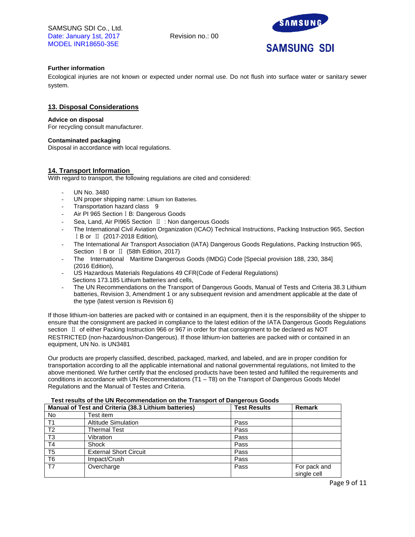SAMSUNG SDI Co., Ltd. Date: January 1st, 2017 Revision no.: 00 MODEL INR18650-35E



# **Further information**

Ecological injuries are not known or expected under normal use. Do not flush into surface water or sanitary sewer system.

# **13. Disposal Considerations**

### **Advice on disposal**

For recycling consult manufacturer.

# **Contaminated packaging**

Disposal in accordance with local regulations.

# **14. Transport Information**

With regard to transport, the following regulations are cited and considered:

- UN No. 3480
- UN proper shipping name: Lithium Ion Batteries.
- Transportation hazard class 9
- Air PI 965 SectionⅠB: Dangerous Goods
- Sea, Land, Air PI965 Section Ⅱ : Non dangerous Goods
- The International Civil Aviation Organization (ICAO) Technical Instructions, Packing Instruction 965, Section ⅠB or Ⅱ (2017-2018 Edition),
- The International Air Transport Association (IATA) Dangerous Goods Regulations, Packing Instruction 965, Section ⅠB or Ⅱ (58th Edition, 2017)
- The International Maritime Dangerous Goods (IMDG) Code [Special provision 188, 230, 384] (2016 Edition),
- US Hazardous Materials Regulations 49 CFR(Code of Federal Regulations) Sections 173.185 Lithium batteries and cells,
- The UN Recommendations on the Transport of Dangerous Goods, Manual of Tests and Criteria 38.3 Lithium batteries, Revision 3, Amendment 1 or any subsequent revision and amendment applicable at the date of the type (latest version is Revision 6)

If those lithium-ion batteries are packed with or contained in an equipment, then it is the responsibility of the shipper to ensure that the consignment are packed in compliance to the latest edition of the IATA Dangerous Goods Regulations section Ⅱ of either Packing Instruction 966 or 967 in order for that consignment to be declared as NOT RESTRICTED (non-hazardous/non-Dangerous). If those lithium-ion batteries are packed with or contained in an equipment, UN No. is UN3481

Our products are properly classified, described, packaged, marked, and labeled, and are in proper condition for transportation according to all the applicable international and national governmental regulations, not limited to the above mentioned. We further certify that the enclosed products have been tested and fulfilled the requirements and conditions in accordance with UN Recommendations (T1 – T8) on the Transport of Dangerous Goods Model Regulations and the Manual of Testes and Criteria.

| Manual of Test and Criteria (38.3 Lithium batteries) |                               | <b>Test Results</b> | Remark                      |
|------------------------------------------------------|-------------------------------|---------------------|-----------------------------|
| No.                                                  | Test item                     |                     |                             |
| T <sub>1</sub>                                       | <b>Altitude Simulation</b>    | Pass                |                             |
| T <sub>2</sub>                                       | Thermal Test                  | Pass                |                             |
| T <sub>3</sub>                                       | Vibration                     | Pass                |                             |
| T <sub>4</sub>                                       | Shock                         | Pass                |                             |
| T <sub>5</sub>                                       | <b>External Short Circuit</b> | Pass                |                             |
| T <sub>6</sub>                                       | Impact/Crush                  | Pass                |                             |
| T7                                                   | Overcharge                    | Pass                | For pack and<br>single cell |

# **Test results of the UN Recommendation on the Transport of Dangerous Goods**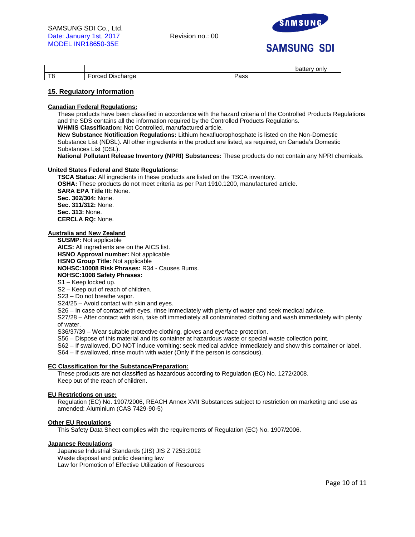

# **SAMSUNG SDI**

|   |                                                                          |     | only<br>. .<br>້ |
|---|--------------------------------------------------------------------------|-----|------------------|
| - | - -<br>-<br>$ \sim$ $\sim$<br>$n$ horoo<br>וכו<br>narge<br>וני<br>ы.<br> | aoo |                  |

# **15. Regulatory Information**

### **Canadian Federal Regulations:**

These products have been classified in accordance with the hazard criteria of the Controlled Products Regulations and the SDS contains all the information required by the Controlled Products Regulations. **WHMIS Classification:** Not Controlled, manufactured article.

**New Substance Notification Regulations:** Lithium hexafluorophosphate is listed on the Non-Domestic Substance List (NDSL). All other ingredients in the product are listed, as required, on Canada's Domestic Substances List (DSL).

**National Pollutant Release Inventory (NPRI) Substances:** These products do not contain any NPRI chemicals.

# **United States Federal and State Regulations:**

**TSCA Status:** All ingredients in these products are listed on the TSCA inventory. **OSHA:** These products do not meet criteria as per Part 1910.1200, manufactured article. **SARA EPA Title III:** None. **Sec. 302/304:** None. **Sec. 311/312:** None. **Sec. 313:** None. **CERCLA RQ:** None.

# **Australia and New Zealand**

**SUSMP:** Not applicable

**AICS:** All ingredients are on the AICS list. **HSNO Approval number:** Not applicable **HSNO Group Title:** Not applicable **NOHSC:10008 Risk Phrases:** R34 - Causes Burns. **NOHSC:1008 Safety Phrases:** S1 – Keep locked up.

S2 – Keep out of reach of children.

S23 – Do not breathe vapor.

S24/25 – Avoid contact with skin and eyes.

S26 – In case of contact with eyes, rinse immediately with plenty of water and seek medical advice.

S27/28 – After contact with skin, take off immediately all contaminated clothing and wash immediately with plenty of water.

S36/37/39 – Wear suitable protective clothing, gloves and eye/face protection.

S56 – Dispose of this material and its container at hazardous waste or special waste collection point.

S62 – If swallowed, DO NOT induce vomiting: seek medical advice immediately and show this container or label.

S64 – If swallowed, rinse mouth with water (Only if the person is conscious).

# **EC Classification for the Substance/Preparation:**

These products are not classified as hazardous according to Regulation (EC) No. 1272/2008. Keep out of the reach of children.

# **EU Restrictions on use:**

Regulation (EC) No. 1907/2006, REACH Annex XVII Substances subject to restriction on marketing and use as amended: Aluminium (CAS 7429-90-5)

# **Other EU Regulations**

This Safety Data Sheet complies with the requirements of Regulation (EC) No. 1907/2006.

### **Japanese Regulations**

Japanese Industrial Standards (JIS) JIS Z 7253:2012 Waste disposal and public cleaning law Law for Promotion of Effective Utilization of Resources